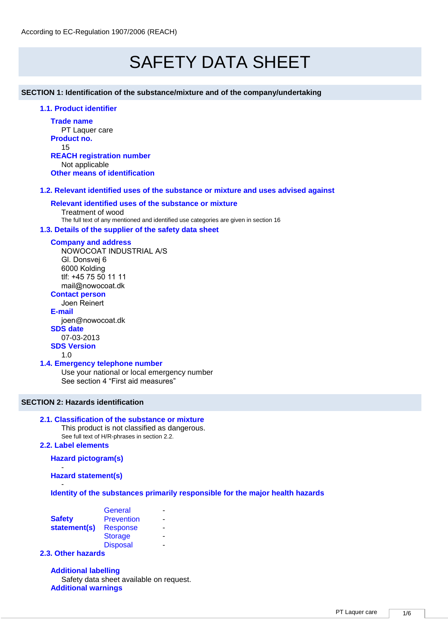# SAFETY DATA SHEET

**SECTION 1: Identification of the substance/mixture and of the company/undertaking** 

## **1.1. Product identifier**

**Trade name** PT Laquer care **Product no.** 15 **REACH registration number** Not applicable **Other means of identification**

## **1.2. Relevant identified uses of the substance or mixture and uses advised against**

## **Relevant identified uses of the substance or mixture**

Treatment of wood The full text of any mentioned and identified use categories are given in section 16

#### **1.3. Details of the supplier of the safety data sheet**

#### **Company and address**

NOWOCOAT INDUSTRIAL A/S Gl. Donsvej 6 6000 Kolding tlf: +45 75 50 11 11 mail@nowocoat.dk

## **Contact person**

Joen Reinert **E-mail** joen@nowocoat.dk **SDS date**  07-03-2013

**SDS Version**

#### 1.0

#### **1.4. Emergency telephone number**

Use your national or local emergency number See section 4 "First aid measures"

## **SECTION 2: Hazards identification**

#### **2.1. Classification of the substance or mixture**

This product is not classified as dangerous. See full text of H/R-phrases in section 2.2.

#### **2.2. Label elements**

#### **Hazard pictogram(s)**

- **Hazard statement(s)**

- **Identity of the substances primarily responsible for the major health hazards**

|               | General           |   |
|---------------|-------------------|---|
| <b>Safety</b> | <b>Prevention</b> |   |
| statement(s)  | <b>Response</b>   |   |
|               | <b>Storage</b>    |   |
|               | <b>Disposal</b>   | - |
|               |                   |   |

## **2.3. Other hazards**

**Additional labelling** Safety data sheet available on request. **Additional warnings**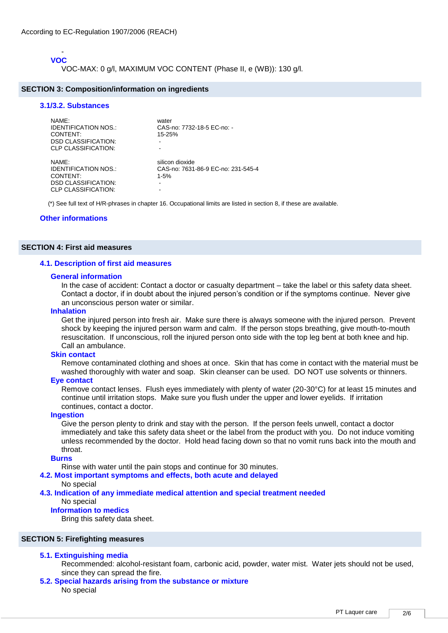#### - **VOC**

VOC-MAX: 0 g/l, MAXIMUM VOC CONTENT (Phase II, e (WB)): 130 g/l.

#### **SECTION 3: Composition/information on ingredients**

#### **3.1/3.2. Substances**

| NAME:<br><b>IDENTIFICATION NOS.:</b><br>CONTENT:<br><b>DSD CLASSIFICATION:</b><br>CLP CLASSIFICATION: | water<br>CAS-no: 7732-18-5 EC-no: -<br>$15 - 25%$<br>-          |
|-------------------------------------------------------------------------------------------------------|-----------------------------------------------------------------|
| NAME:<br><b>IDENTIFICATION NOS.:</b><br>CONTENT:<br><b>DSD CLASSIFICATION:</b><br>CLP CLASSIFICATION: | silicon dioxide<br>CAS-no: 7631-86-9 EC-no: 231-545-4<br>$1-5%$ |

(\*) See full text of H/R-phrases in chapter 16. Occupational limits are listed in section 8, if these are available.

#### **Other informations**

#### **SECTION 4: First aid measures**

#### **4.1. Description of first aid measures**

#### **General information**

In the case of accident: Contact a doctor or casualty department – take the label or this safety data sheet. Contact a doctor, if in doubt about the injured person's condition or if the symptoms continue. Never give an unconscious person water or similar.

#### **Inhalation**

Get the injured person into fresh air. Make sure there is always someone with the injured person. Prevent shock by keeping the injured person warm and calm. If the person stops breathing, give mouth-to-mouth resuscitation. If unconscious, roll the injured person onto side with the top leg bent at both knee and hip. Call an ambulance.

#### **Skin contact**

Remove contaminated clothing and shoes at once. Skin that has come in contact with the material must be washed thoroughly with water and soap. Skin cleanser can be used. DO NOT use solvents or thinners.

#### **Eye contact**

Remove contact lenses. Flush eyes immediately with plenty of water (20-30°C) for at least 15 minutes and continue until irritation stops. Make sure you flush under the upper and lower eyelids. If irritation continues, contact a doctor.

#### **Ingestion**

Give the person plenty to drink and stay with the person. If the person feels unwell, contact a doctor immediately and take this safety data sheet or the label from the product with you. Do not induce vomiting unless recommended by the doctor. Hold head facing down so that no vomit runs back into the mouth and throat.

#### **Burns**

Rinse with water until the pain stops and continue for 30 minutes.

#### **4.2. Most important symptoms and effects, both acute and delayed**

#### No special

**4.3. Indication of any immediate medical attention and special treatment needed**  No special

#### **Information to medics**

Bring this safety data sheet.

#### **SECTION 5: Firefighting measures**

#### **5.1. Extinguishing media**

- Recommended: alcohol-resistant foam, carbonic acid, powder, water mist. Water jets should not be used, since they can spread the fire.
- **5.2. Special hazards arising from the substance or mixture**  No special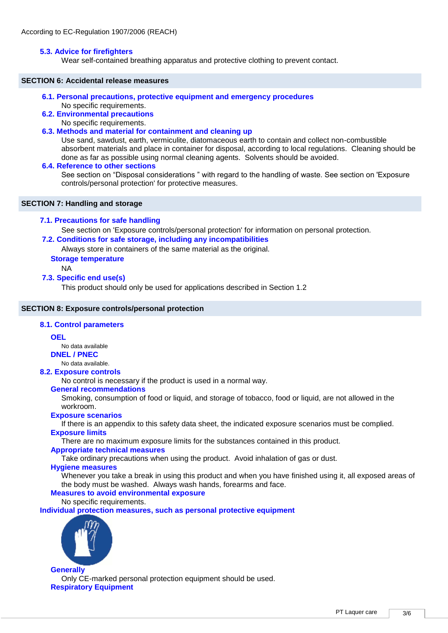#### **5.3. Advice for firefighters**

Wear self-contained breathing apparatus and protective clothing to prevent contact.

#### **SECTION 6: Accidental release measures**

- **6.1. Personal precautions, protective equipment and emergency procedures** 
	- No specific requirements.
- **6.2. Environmental precautions** 
	- No specific requirements.

#### **6.3. Methods and material for containment and cleaning up**

Use sand, sawdust, earth, vermiculite, diatomaceous earth to contain and collect non-combustible absorbent materials and place in container for disposal, according to local regulations. Cleaning should be done as far as possible using normal cleaning agents. Solvents should be avoided.

#### **6.4. Reference to other sections**

See section on "Disposal considerations " with regard to the handling of waste. See section on 'Exposure controls/personal protection' for protective measures.

#### **SECTION 7: Handling and storage**

#### **7.1. Precautions for safe handling**

See section on 'Exposure controls/personal protection' for information on personal protection.

## **7.2. Conditions for safe storage, including any incompatibilities**

Always store in containers of the same material as the original.

## **Storage temperature**

NA

## **7.3. Specific end use(s)**

This product should only be used for applications described in Section 1.2

#### **SECTION 8: Exposure controls/personal protection**

#### **8.1. Control parameters**

#### **OEL**

No data available

**DNEL / PNEC**

No data available.

#### **8.2. Exposure controls**

No control is necessary if the product is used in a normal way.

## **General recommendations**

Smoking, consumption of food or liquid, and storage of tobacco, food or liquid, are not allowed in the workroom.

#### **Exposure scenarios**

If there is an appendix to this safety data sheet, the indicated exposure scenarios must be complied. **Exposure limits**

There are no maximum exposure limits for the substances contained in this product.

#### **Appropriate technical measures**

Take ordinary precautions when using the product. Avoid inhalation of gas or dust.

## **Hygiene measures**

Whenever you take a break in using this product and when you have finished using it, all exposed areas of the body must be washed. Always wash hands, forearms and face.

## **Measures to avoid environmental exposure**

No specific requirements.

**Individual protection measures, such as personal protective equipment**



**Generally** Only CE-marked personal protection equipment should be used. **Respiratory Equipment**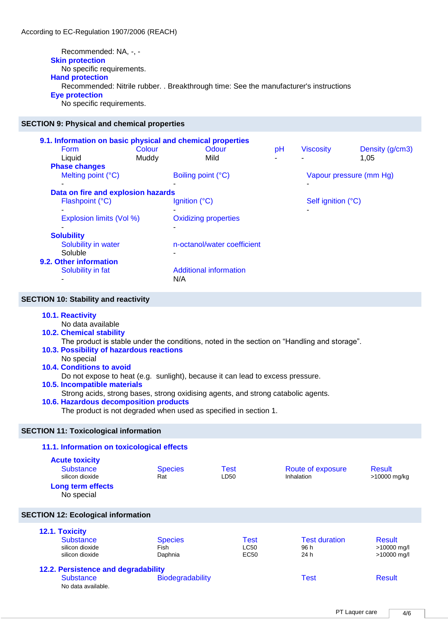Recommended: NA, -, - **Skin protection** No specific requirements. **Hand protection** Recommended: Nitrile rubber. . Breakthrough time: See the manufacturer's instructions **Eye protection**

No specific requirements.

#### **SECTION 9: Physical and chemical properties**

|                                    |        | 9.1. Information on basic physical and chemical properties |                    |                         |                 |  |
|------------------------------------|--------|------------------------------------------------------------|--------------------|-------------------------|-----------------|--|
| <b>Form</b>                        | Colour | Odour                                                      | pH                 | <b>Viscosity</b>        | Density (g/cm3) |  |
| Liquid                             | Muddy  | Mild                                                       |                    |                         | 1,05            |  |
| <b>Phase changes</b>               |        |                                                            |                    |                         |                 |  |
| Melting point (°C)                 |        | Boiling point (°C)                                         |                    | Vapour pressure (mm Hg) |                 |  |
|                                    |        |                                                            |                    |                         |                 |  |
| Data on fire and explosion hazards |        |                                                            |                    |                         |                 |  |
| Flashpoint (°C)                    |        | Ignition $(^{\circ}C)$                                     | Self ignition (°C) |                         |                 |  |
|                                    |        |                                                            |                    |                         |                 |  |
| Explosion limits (Vol %)           |        | <b>Oxidizing properties</b>                                |                    |                         |                 |  |
|                                    |        | -                                                          |                    |                         |                 |  |
| <b>Solubility</b>                  |        |                                                            |                    |                         |                 |  |
| Solubility in water                |        | n-octanol/water coefficient                                |                    |                         |                 |  |
| Soluble                            |        |                                                            |                    |                         |                 |  |
| 9.2. Other information             |        |                                                            |                    |                         |                 |  |
| Solubility in fat                  |        | Additional information                                     |                    |                         |                 |  |
|                                    |        | N/A                                                        |                    |                         |                 |  |

#### **SECTION 10: Stability and reactivity**

#### **10.1. Reactivity**

No data available

**10.2. Chemical stability** 

The product is stable under the conditions, noted in the section on "Handling and storage".

## **10.3. Possibility of hazardous reactions**

No special

## **10.4. Conditions to avoid**

Do not expose to heat (e.g. sunlight), because it can lead to excess pressure.

## **10.5. Incompatible materials**

Strong acids, strong bases, strong oxidising agents, and strong catabolic agents.

#### **10.6. Hazardous decomposition products**

The product is not degraded when used as specified in section 1.

#### **SECTION 11: Toxicological information**

#### **11.1. Information on toxicological effects Acute toxicity** Substance Species Test Route of exposure Result<br>
Substance Result Result<br>
Resultion dioxide Result<br>
Resultion dioxide Result silicon dioxide **Rat** Rat LD50 Inhalation >10000 mg/kg **Long term effects** No special **SECTION 12: Ecological information 12.1. Toxicity**  Substance Species Test Test duration Result silicon dioxide silicon dioxide Fish Daphnia LC50 EC50 96 h 24 h >10000 mg/l >10000 mg/l **12.2. Persistence and degradability**  Substance **Biodegradability Biodegradability Test** Result No data available.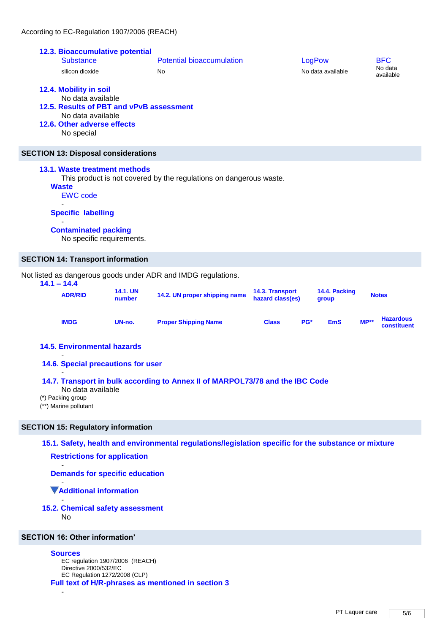|               | ACCORDING TO EC-Regulation 1907/2006 (REACH)                                                                                                              |                           |                                                                    |                                     |        |                        |        |                                    |
|---------------|-----------------------------------------------------------------------------------------------------------------------------------------------------------|---------------------------|--------------------------------------------------------------------|-------------------------------------|--------|------------------------|--------|------------------------------------|
|               | 12.3. Bioaccumulative potential<br><b>Substance</b><br>silicon dioxide                                                                                    |                           | <b>Potential bioaccumulation</b><br><b>No</b>                      |                                     | LogPow | No data available      |        | <b>BFC</b><br>No data<br>available |
|               | 12.4. Mobility in soil<br>No data available<br>12.5. Results of PBT and vPvB assessment<br>No data available<br>12.6. Other adverse effects<br>No special |                           |                                                                    |                                     |        |                        |        |                                    |
|               | <b>SECTION 13: Disposal considerations</b>                                                                                                                |                           |                                                                    |                                     |        |                        |        |                                    |
|               | 13.1. Waste treatment methods<br><b>Waste</b><br><b>EWC</b> code<br><b>Specific labelling</b><br><b>Contaminated packing</b><br>No specific requirements. |                           | This product is not covered by the regulations on dangerous waste. |                                     |        |                        |        |                                    |
|               | <b>SECTION 14: Transport information</b>                                                                                                                  |                           |                                                                    |                                     |        |                        |        |                                    |
| $14.1 - 14.4$ |                                                                                                                                                           |                           | Not listed as dangerous goods under ADR and IMDG regulations.      |                                     |        |                        |        |                                    |
|               | <b>ADR/RID</b>                                                                                                                                            | <b>14.1. UN</b><br>number | 14.2. UN proper shipping name                                      | 14.3. Transport<br>hazard class(es) |        | 14.4. Packing<br>group |        | <b>Notes</b>                       |
|               | <b>IMDG</b>                                                                                                                                               | UN-no.                    | <b>Proper Shipping Name</b>                                        | <b>Class</b>                        | PG*    | <b>EmS</b>             | $MP**$ | <b>Hazardous</b><br>constituent    |
|               | <b>14.5. Environmental hazards</b>                                                                                                                        |                           |                                                                    |                                     |        |                        |        |                                    |

**14.6. Special precautions for user** 

- **14.7. Transport in bulk according to Annex II of MARPOL73/78 and the IBC Code** 

No data available

(\*) Packing group

-

(\*\*) Marine pollutant

## **SECTION 15: Regulatory information**

**15.1. Safety, health and environmental regulations/legislation specific for the substance or mixture** 

**Restrictions for application**

**Demands for specific education**

- **Additional information**

#### - **15.2. Chemical safety assessment**  No

# **SECTION 16: Other information'**

## **Sources**

-

EC regulation 1907/2006 (REACH) Directive 2000/532/EC EC Regulation 1272/2008 (CLP) **Full text of H/R-phrases as mentioned in section 3**